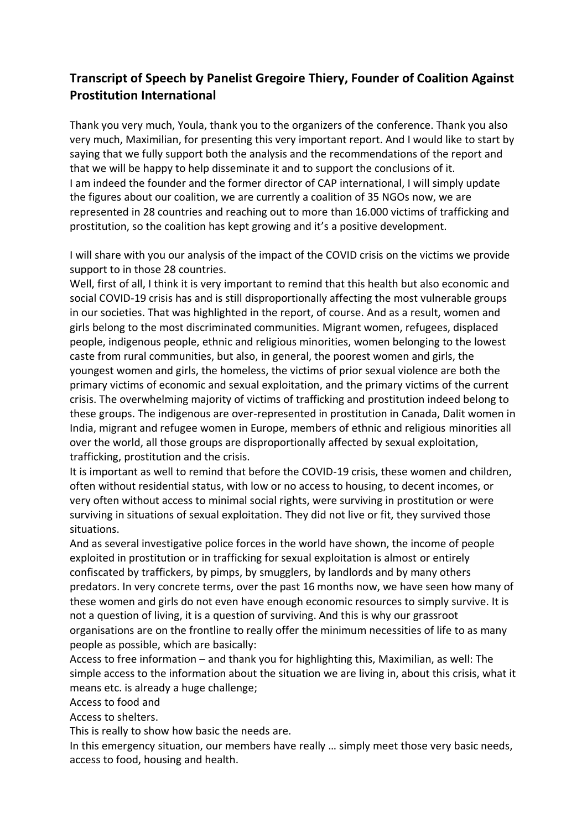## **Transcript of Speech by Panelist Gregoire Thiery, Founder of Coalition Against Prostitution International**

Thank you very much, Youla, thank you to the organizers of the conference. Thank you also very much, Maximilian, for presenting this very important report. And I would like to start by saying that we fully support both the analysis and the recommendations of the report and that we will be happy to help disseminate it and to support the conclusions of it. I am indeed the founder and the former director of CAP international, I will simply update the figures about our coalition, we are currently a coalition of 35 NGOs now, we are represented in 28 countries and reaching out to more than 16.000 victims of trafficking and prostitution, so the coalition has kept growing and it's a positive development.

I will share with you our analysis of the impact of the COVID crisis on the victims we provide support to in those 28 countries.

Well, first of all, I think it is very important to remind that this health but also economic and social COVID-19 crisis has and is still disproportionally affecting the most vulnerable groups in our societies. That was highlighted in the report, of course. And as a result, women and girls belong to the most discriminated communities. Migrant women, refugees, displaced people, indigenous people, ethnic and religious minorities, women belonging to the lowest caste from rural communities, but also, in general, the poorest women and girls, the youngest women and girls, the homeless, the victims of prior sexual violence are both the primary victims of economic and sexual exploitation, and the primary victims of the current crisis. The overwhelming majority of victims of trafficking and prostitution indeed belong to these groups. The indigenous are over-represented in prostitution in Canada, Dalit women in India, migrant and refugee women in Europe, members of ethnic and religious minorities all over the world, all those groups are disproportionally affected by sexual exploitation, trafficking, prostitution and the crisis.

It is important as well to remind that before the COVID-19 crisis, these women and children, often without residential status, with low or no access to housing, to decent incomes, or very often without access to minimal social rights, were surviving in prostitution or were surviving in situations of sexual exploitation. They did not live or fit, they survived those situations.

And as several investigative police forces in the world have shown, the income of people exploited in prostitution or in trafficking for sexual exploitation is almost or entirely confiscated by traffickers, by pimps, by smugglers, by landlords and by many others predators. In very concrete terms, over the past 16 months now, we have seen how many of these women and girls do not even have enough economic resources to simply survive. It is not a question of living, it is a question of surviving. And this is why our grassroot organisations are on the frontline to really offer the minimum necessities of life to as many people as possible, which are basically:

Access to free information – and thank you for highlighting this, Maximilian, as well: The simple access to the information about the situation we are living in, about this crisis, what it means etc. is already a huge challenge;

Access to food and

Access to shelters.

This is really to show how basic the needs are.

In this emergency situation, our members have really … simply meet those very basic needs, access to food, housing and health.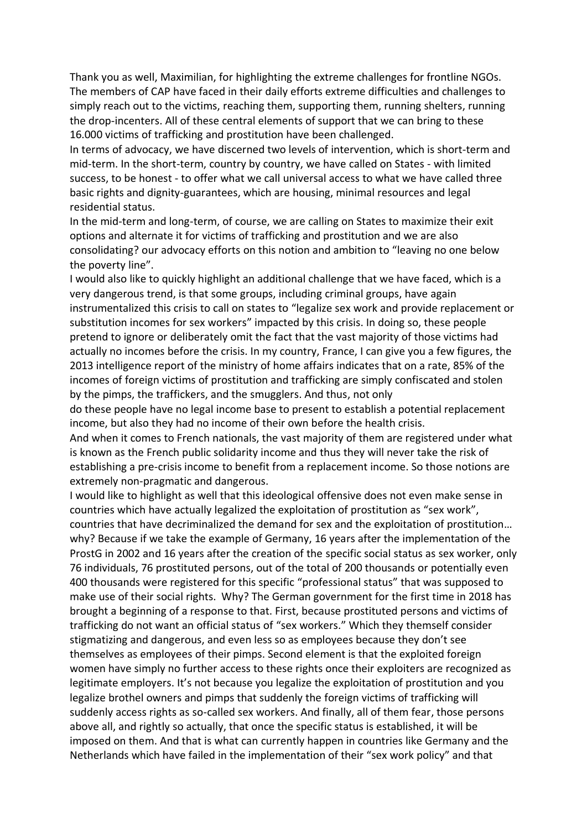Thank you as well, Maximilian, for highlighting the extreme challenges for frontline NGOs. The members of CAP have faced in their daily efforts extreme difficulties and challenges to simply reach out to the victims, reaching them, supporting them, running shelters, running the drop-incenters. All of these central elements of support that we can bring to these 16.000 victims of trafficking and prostitution have been challenged.

In terms of advocacy, we have discerned two levels of intervention, which is short-term and mid-term. In the short-term, country by country, we have called on States - with limited success, to be honest - to offer what we call universal access to what we have called three basic rights and dignity-guarantees, which are housing, minimal resources and legal residential status.

In the mid-term and long-term, of course, we are calling on States to maximize their exit options and alternate it for victims of trafficking and prostitution and we are also consolidating? our advocacy efforts on this notion and ambition to "leaving no one below the poverty line".

I would also like to quickly highlight an additional challenge that we have faced, which is a very dangerous trend, is that some groups, including criminal groups, have again instrumentalized this crisis to call on states to "legalize sex work and provide replacement or substitution incomes for sex workers" impacted by this crisis. In doing so, these people pretend to ignore or deliberately omit the fact that the vast majority of those victims had actually no incomes before the crisis. In my country, France, I can give you a few figures, the 2013 intelligence report of the ministry of home affairs indicates that on a rate, 85% of the incomes of foreign victims of prostitution and trafficking are simply confiscated and stolen by the pimps, the traffickers, and the smugglers. And thus, not only

do these people have no legal income base to present to establish a potential replacement income, but also they had no income of their own before the health crisis.

And when it comes to French nationals, the vast majority of them are registered under what is known as the French public solidarity income and thus they will never take the risk of establishing a pre-crisis income to benefit from a replacement income. So those notions are extremely non-pragmatic and dangerous.

I would like to highlight as well that this ideological offensive does not even make sense in countries which have actually legalized the exploitation of prostitution as "sex work", countries that have decriminalized the demand for sex and the exploitation of prostitution… why? Because if we take the example of Germany, 16 years after the implementation of the ProstG in 2002 and 16 years after the creation of the specific social status as sex worker, only 76 individuals, 76 prostituted persons, out of the total of 200 thousands or potentially even 400 thousands were registered for this specific "professional status" that was supposed to make use of their social rights. Why? The German government for the first time in 2018 has brought a beginning of a response to that. First, because prostituted persons and victims of trafficking do not want an official status of "sex workers." Which they themself consider stigmatizing and dangerous, and even less so as employees because they don't see themselves as employees of their pimps. Second element is that the exploited foreign women have simply no further access to these rights once their exploiters are recognized as legitimate employers. It's not because you legalize the exploitation of prostitution and you legalize brothel owners and pimps that suddenly the foreign victims of trafficking will suddenly access rights as so-called sex workers. And finally, all of them fear, those persons above all, and rightly so actually, that once the specific status is established, it will be imposed on them. And that is what can currently happen in countries like Germany and the Netherlands which have failed in the implementation of their "sex work policy" and that